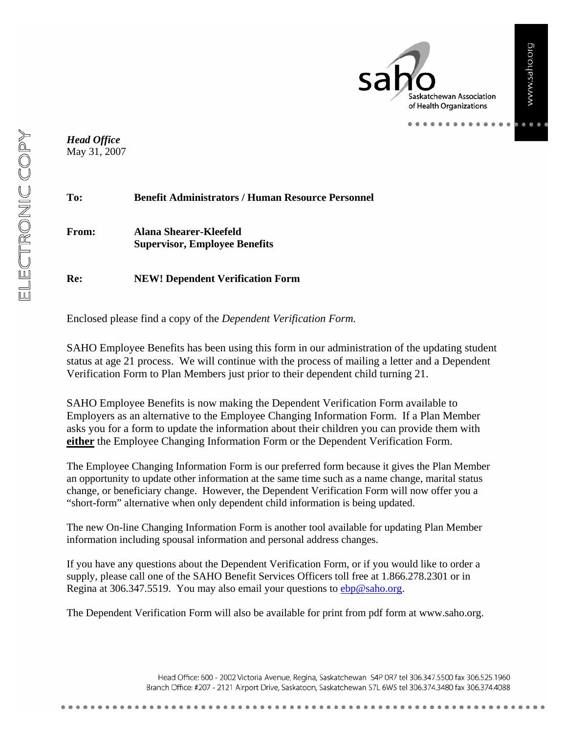askatchewan Association of Health Organizations

. . . . . . . . . .

*Head Office* May 31, 2007

| To:          | <b>Benefit Administrators / Human Resource Personnel</b>       |
|--------------|----------------------------------------------------------------|
| <b>From:</b> | Alana Shearer-Kleefeld<br><b>Supervisor, Employee Benefits</b> |
| Re:          | <b>NEW! Dependent Verification Form</b>                        |

Enclosed please find a copy of the *Dependent Verification Form.*

SAHO Employee Benefits has been using this form in our administration of the updating student status at age 21 process. We will continue with the process of mailing a letter and a Dependent Verification Form to Plan Members just prior to their dependent child turning 21.

SAHO Employee Benefits is now making the Dependent Verification Form available to Employers as an alternative to the Employee Changing Information Form. If a Plan Member asks you for a form to update the information about their children you can provide them with **either** the Employee Changing Information Form or the Dependent Verification Form.

The Employee Changing Information Form is our preferred form because it gives the Plan Member an opportunity to update other information at the same time such as a name change, marital status change, or beneficiary change. However, the Dependent Verification Form will now offer you a "short-form" alternative when only dependent child information is being updated.

The new On-line Changing Information Form is another tool available for updating Plan Member information including spousal information and personal address changes.

If you have any questions about the Dependent Verification Form, or if you would like to order a supply, please call one of the SAHO Benefit Services Officers toll free at 1.866.278.2301 or in Regina at 306.347.5519. You may also email your questions to ebp@saho.org.

The Dependent Verification Form will also be available for print from pdf form at www.saho.org.